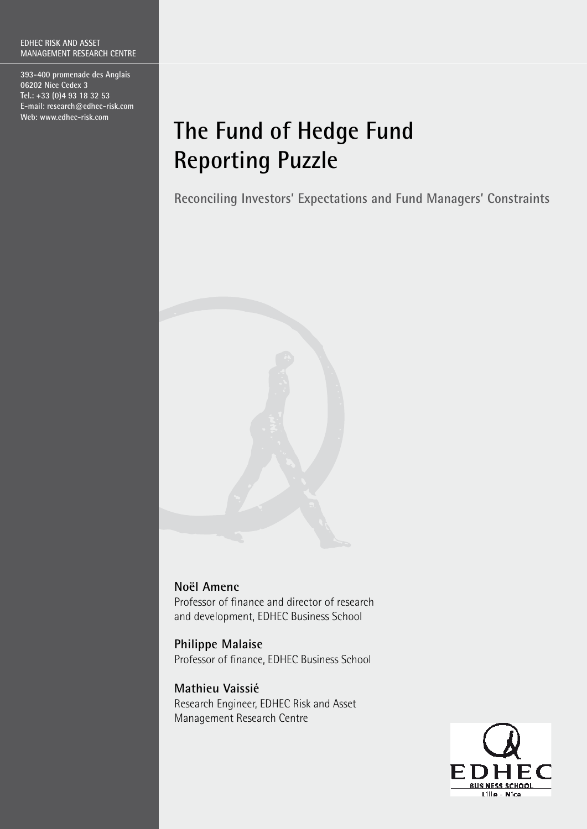**393-400 promenade des Anglais 06202 Nice Cedex 3 Tel.: +33 (0)4 93 18 32 53 E-mail: research@edhec-risk.com Web: www.edhec-risk.com**

# **The Fund of Hedge Fund Reporting Puzzle**

**Reconciling Investors' Expectations and Fund Managers' Constraints**



## **Noël Amenc**

Professor of finance and director of research and development, EDHEC Business School

**Philippe Malaise** Professor of finance, EDHEC Business School

**Mathieu Vaissié** Research Engineer, EDHEC Risk and Asset Management Research Centre

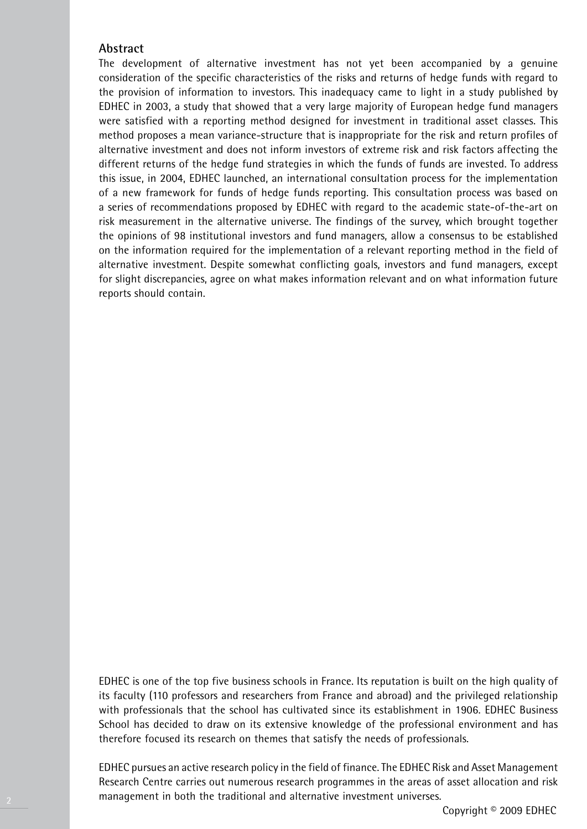## **Abstract**

The development of alternative investment has not yet been accompanied by a genuine consideration of the specific characteristics of the risks and returns of hedge funds with regard to the provision of information to investors. This inadequacy came to light in a study published by Edhec in 2003, a study that showed that a very large majority of European hedge fund managers were satisfied with a reporting method designed for investment in traditional asset classes. This method proposes a mean variance-structure that is inappropriate for the risk and return profiles of alternative investment and does not inform investors of extreme risk and risk factors affecting the different returns of the hedge fund strategies in which the funds of funds are invested. To address this issue, in 2004, EDHEC launched, an international consultation process for the implementation of a new framework for funds of hedge funds reporting. This consultation process was based on a series of recommendations proposed by EDHEC with regard to the academic state-of-the-art on risk measurement in the alternative universe. The findings of the survey, which brought together the opinions of 98 institutional investors and fund managers, allow a consensus to be established on the information required for the implementation of a relevant reporting method in the field of alternative investment. Despite somewhat conflicting goals, investors and fund managers, except for slight discrepancies, agree on what makes information relevant and on what information future reports should contain.

EDHEC is one of the top five business schools in France. Its reputation is built on the high quality of its faculty (110 professors and researchers from France and abroad) and the privileged relationship with professionals that the school has cultivated since its establishment in 1906. EDHEC Business School has decided to draw on its extensive knowledge of the professional environment and has therefore focused its research on themes that satisfy the needs of professionals.

EDHEC pursues an active research policy in the field of finance. The EDHEC Risk and Asset Management Research Centre carries out numerous research programmes in the areas of asset allocation and risk management in both the traditional and alternative investment universes.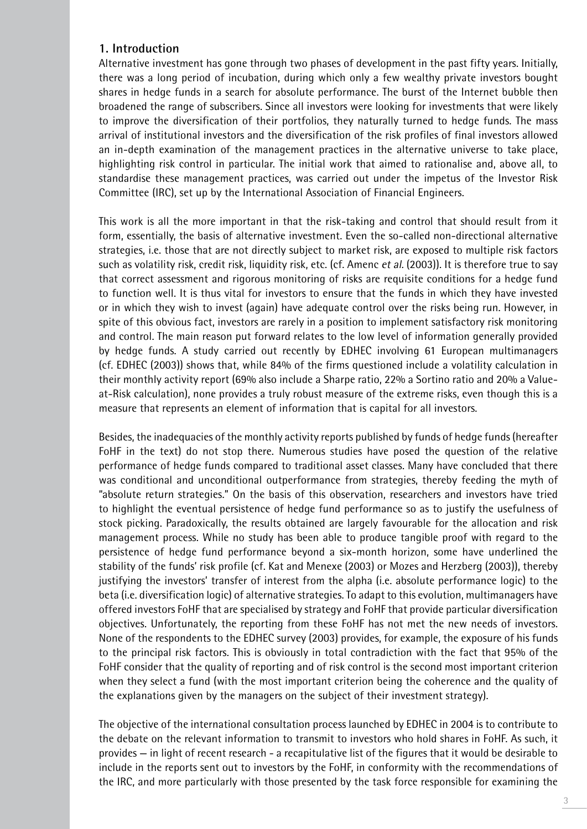## **1. Introduction**

Alternative investment has gone through two phases of development in the past fifty years. Initially, there was a long period of incubation, during which only a few wealthy private investors bought shares in hedge funds in a search for absolute performance. The burst of the Internet bubble then broadened the range of subscribers. Since all investors were looking for investments that were likely to improve the diversification of their portfolios, they naturally turned to hedge funds. The mass arrival of institutional investors and the diversification of the risk profiles of final investors allowed an in-depth examination of the management practices in the alternative universe to take place, highlighting risk control in particular. The initial work that aimed to rationalise and, above all, to standardise these management practices, was carried out under the impetus of the Investor Risk Committee (IRC), set up by the International Association of Financial Engineers.

This work is all the more important in that the risk-taking and control that should result from it form, essentially, the basis of alternative investment. Even the so-called non-directional alternative strategies, i.e. those that are not directly subject to market risk, are exposed to multiple risk factors such as volatility risk, credit risk, liquidity risk, etc. (cf. Amenc et al. (2003)). It is therefore true to say that correct assessment and rigorous monitoring of risks are requisite conditions for a hedge fund to function well. It is thus vital for investors to ensure that the funds in which they have invested or in which they wish to invest (again) have adequate control over the risks being run. However, in spite of this obvious fact, investors are rarely in a position to implement satisfactory risk monitoring and control. The main reason put forward relates to the low level of information generally provided by hedge funds. A study carried out recently by EDHEC involving 61 European multimanagers (cf. EDHEC (2003)) shows that, while 84% of the firms questioned include a volatility calculation in their monthly activity report (69% also include a Sharpe ratio, 22% a Sortino ratio and 20% a Valueat-Risk calculation), none provides a truly robust measure of the extreme risks, even though this is a measure that represents an element of information that is capital for all investors.

Besides, the inadequacies of the monthly activity reports published by funds of hedge funds (hereafter FoHF in the text) do not stop there. Numerous studies have posed the question of the relative performance of hedge funds compared to traditional asset classes. Many have concluded that there was conditional and unconditional outperformance from strategies, thereby feeding the myth of "absolute return strategies." On the basis of this observation, researchers and investors have tried to highlight the eventual persistence of hedge fund performance so as to justify the usefulness of stock picking. Paradoxically, the results obtained are largely favourable for the allocation and risk management process. While no study has been able to produce tangible proof with regard to the persistence of hedge fund performance beyond a six-month horizon, some have underlined the stability of the funds' risk profile (cf. Kat and Menexe (2003) or Mozes and Herzberg (2003)), thereby justifying the investors' transfer of interest from the alpha (i.e. absolute performance logic) to the beta (i.e. diversification logic) of alternative strategies. To adapt to this evolution, multimanagers have offered investors FoHF that are specialised by strategy and FoHF that provide particular diversification objectives. Unfortunately, the reporting from these FoHF has not met the new needs of investors. None of the respondents to the EDHEC survey (2003) provides, for example, the exposure of his funds to the principal risk factors. This is obviously in total contradiction with the fact that 95% of the FoHF consider that the quality of reporting and of risk control is the second most important criterion when they select a fund (with the most important criterion being the coherence and the quality of the explanations given by the managers on the subject of their investment strategy).

The objective of the international consultation process launched by EDHEC in 2004 is to contribute to the debate on the relevant information to transmit to investors who hold shares in FoHF. As such, it provides — in light of recent research - a recapitulative list of the figures that it would be desirable to include in the reports sent out to investors by the FoHF, in conformity with the recommendations of the IRC, and more particularly with those presented by the task force responsible for examining the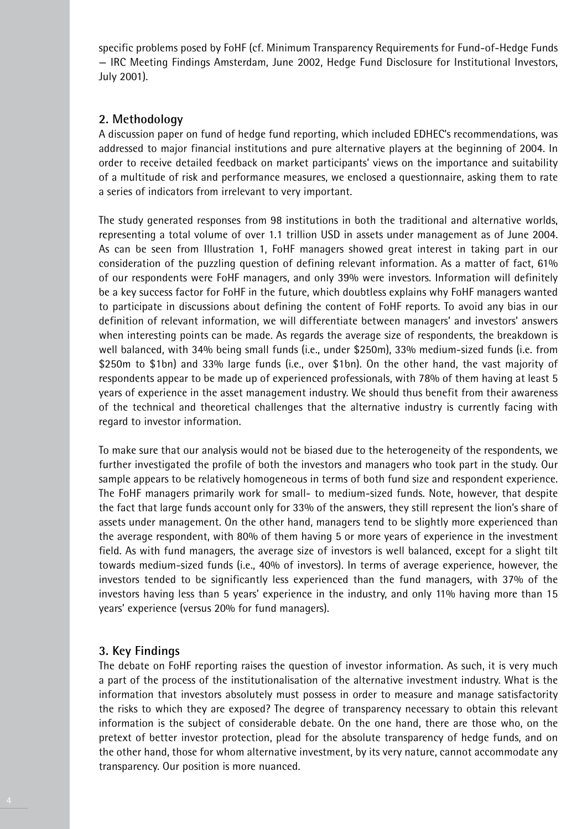specific problems posed by FoHF (cf. Minimum Transparency Requirements for Fund-of-Hedge Funds — IRC Meeting Findings Amsterdam, June 2002, Hedge Fund Disclosure for Institutional Investors, July 2001).

## **2. Methodology**

A discussion paper on fund of hedge fund reporting, which included EDHEC's recommendations, was addressed to major financial institutions and pure alternative players at the beginning of 2004. In order to receive detailed feedback on market participants' views on the importance and suitability of a multitude of risk and performance measures, we enclosed a questionnaire, asking them to rate a series of indicators from irrelevant to very important.

The study generated responses from 98 institutions in both the traditional and alternative worlds, representing a total volume of over 1.1 trillion USD in assets under management as of June 2004. As can be seen from Illustration 1, FoHF managers showed great interest in taking part in our consideration of the puzzling question of defining relevant information. As a matter of fact, 61% of our respondents were FoHF managers, and only 39% were investors. Information will definitely be a key success factor for FoHF in the future, which doubtless explains why FoHF managers wanted to participate in discussions about defining the content of FoHF reports. To avoid any bias in our definition of relevant information, we will differentiate between managers' and investors' answers when interesting points can be made. As regards the average size of respondents, the breakdown is well balanced, with 34% being small funds (i.e., under \$250m), 33% medium-sized funds (i.e. from \$250m to \$1bn) and 33% large funds (i.e., over \$1bn). On the other hand, the vast majority of respondents appear to be made up of experienced professionals, with 78% of them having at least 5 years of experience in the asset management industry. We should thus benefit from their awareness of the technical and theoretical challenges that the alternative industry is currently facing with regard to investor information.

To make sure that our analysis would not be biased due to the heterogeneity of the respondents, we further investigated the profile of both the investors and managers who took part in the study. Our sample appears to be relatively homogeneous in terms of both fund size and respondent experience. The FoHF managers primarily work for small- to medium-sized funds. Note, however, that despite the fact that large funds account only for 33% of the answers, they still represent the lion's share of assets under management. On the other hand, managers tend to be slightly more experienced than the average respondent, with 80% of them having 5 or more years of experience in the investment field. As with fund managers, the average size of investors is well balanced, except for a slight tilt towards medium-sized funds (i.e., 40% of investors). In terms of average experience, however, the investors tended to be significantly less experienced than the fund managers, with 37% of the investors having less than 5 years' experience in the industry, and only 11% having more than 15 years' experience (versus 20% for fund managers).

### **3. Key Findings**

The debate on FoHF reporting raises the question of investor information. As such, it is very much a part of the process of the institutionalisation of the alternative investment industry. What is the information that investors absolutely must possess in order to measure and manage satisfactority the risks to which they are exposed? The degree of transparency necessary to obtain this relevant information is the subject of considerable debate. On the one hand, there are those who, on the pretext of better investor protection, plead for the absolute transparency of hedge funds, and on the other hand, those for whom alternative investment, by its very nature, cannot accommodate any transparency. Our position is more nuanced.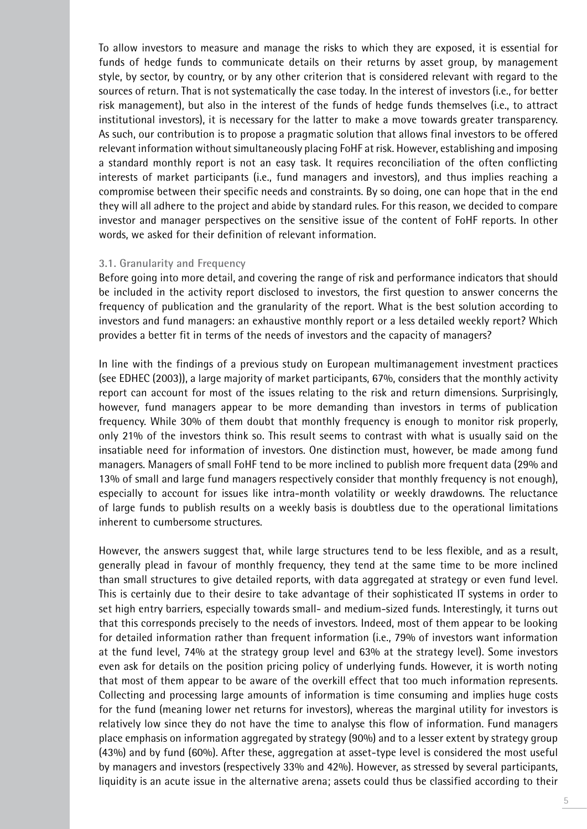To allow investors to measure and manage the risks to which they are exposed, it is essential for funds of hedge funds to communicate details on their returns by asset group, by management style, by sector, by country, or by any other criterion that is considered relevant with regard to the sources of return. That is not systematically the case today. In the interest of investors (i.e., for better risk management), but also in the interest of the funds of hedge funds themselves (i.e., to attract institutional investors), it is necessary for the latter to make a move towards greater transparency. As such, our contribution is to propose a pragmatic solution that allows final investors to be offered relevant information without simultaneously placing FoHF at risk. However, establishing and imposing a standard monthly report is not an easy task. It requires reconciliation of the often conflicting interests of market participants (i.e., fund managers and investors), and thus implies reaching a compromise between their specific needs and constraints. By so doing, one can hope that in the end they will all adhere to the project and abide by standard rules. For this reason, we decided to compare investor and manager perspectives on the sensitive issue of the content of FoHF reports. In other words, we asked for their definition of relevant information.

#### **3.1. Granularity and Frequency**

Before going into more detail, and covering the range of risk and performance indicators that should be included in the activity report disclosed to investors, the first question to answer concerns the frequency of publication and the granularity of the report. What is the best solution according to investors and fund managers: an exhaustive monthly report or a less detailed weekly report? Which provides a better fit in terms of the needs of investors and the capacity of managers?

In line with the findings of a previous study on European multimanagement investment practices (see EDHEC (2003)), a large majority of market participants, 67%, considers that the monthly activity report can account for most of the issues relating to the risk and return dimensions. Surprisingly, however, fund managers appear to be more demanding than investors in terms of publication frequency. While 30% of them doubt that monthly frequency is enough to monitor risk properly, only 21% of the investors think so. This result seems to contrast with what is usually said on the insatiable need for information of investors. One distinction must, however, be made among fund managers. Managers of small FoHF tend to be more inclined to publish more frequent data (29% and 13% of small and large fund managers respectively consider that monthly frequency is not enough), especially to account for issues like intra-month volatility or weekly drawdowns. The reluctance of large funds to publish results on a weekly basis is doubtless due to the operational limitations inherent to cumbersome structures.

However, the answers suggest that, while large structures tend to be less flexible, and as a result, generally plead in favour of monthly frequency, they tend at the same time to be more inclined than small structures to give detailed reports, with data aggregated at strategy or even fund level. This is certainly due to their desire to take advantage of their sophisticated IT systems in order to set high entry barriers, especially towards small- and medium-sized funds. Interestingly, it turns out that this corresponds precisely to the needs of investors. Indeed, most of them appear to be looking for detailed information rather than frequent information (i.e., 79% of investors want information at the fund level, 74% at the strategy group level and 63% at the strategy level). Some investors even ask for details on the position pricing policy of underlying funds. However, it is worth noting that most of them appear to be aware of the overkill effect that too much information represents. Collecting and processing large amounts of information is time consuming and implies huge costs for the fund (meaning lower net returns for investors), whereas the marginal utility for investors is relatively low since they do not have the time to analyse this flow of information. Fund managers place emphasis on information aggregated by strategy (90%) and to a lesser extent by strategy group (43%) and by fund (60%). After these, aggregation at asset-type level is considered the most useful by managers and investors (respectively 33% and 42%). However, as stressed by several participants, liquidity is an acute issue in the alternative arena; assets could thus be classified according to their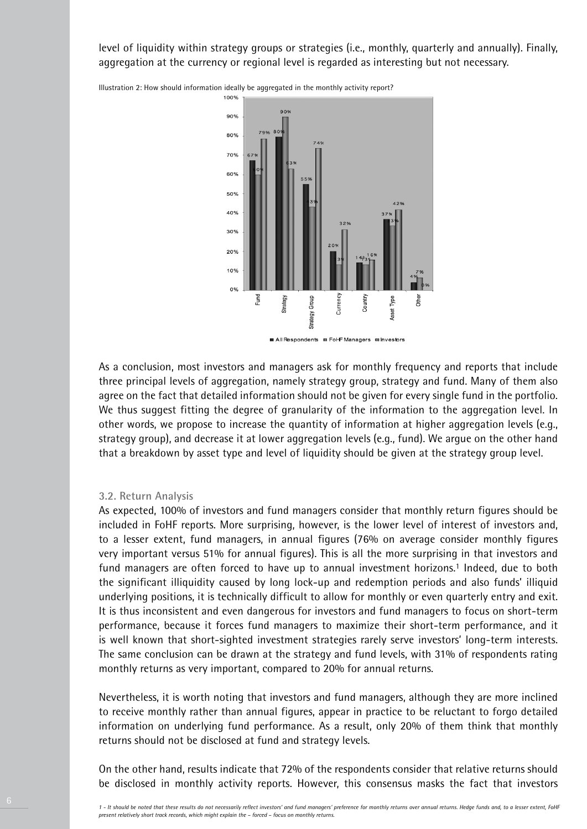level of liquidity within strategy groups or strategies (i.e., monthly, quarterly and annually). Finally, aggregation at the currency or regional level is regarded as interesting but not necessary.

> 100% 909 90% 80% 70% 60% 50% 40% 30% 20% 10%  $0%$ Strategy Currency Country Fund Гуре Strategy Group Dthei **Isset** All Respondents El FoHF Managers mulhvestors

Illustration 2: How should information ideally be aggregated in the monthly activity report?

As a conclusion, most investors and managers ask for monthly frequency and reports that include three principal levels of aggregation, namely strategy group, strategy and fund. Many of them also agree on the fact that detailed information should not be given for every single fund in the portfolio. We thus suggest fitting the degree of granularity of the information to the aggregation level. In other words, we propose to increase the quantity of information at higher aggregation levels (e.g., strategy group), and decrease it at lower aggregation levels (e.g., fund). We argue on the other hand that a breakdown by asset type and level of liquidity should be given at the strategy group level.

#### **3.2. Return Analysis**

As expected, 100% of investors and fund managers consider that monthly return figures should be included in FoHF reports. More surprising, however, is the lower level of interest of investors and, to a lesser extent, fund managers, in annual figures (76% on average consider monthly figures very important versus 51% for annual figures). This is all the more surprising in that investors and fund managers are often forced to have up to annual investment horizons.<sup>1</sup> Indeed, due to both the significant illiquidity caused by long lock-up and redemption periods and also funds' illiquid underlying positions, it is technically difficult to allow for monthly or even quarterly entry and exit. It is thus inconsistent and even dangerous for investors and fund managers to focus on short-term performance, because it forces fund managers to maximize their short-term performance, and it is well known that short-sighted investment strategies rarely serve investors' long-term interests. The same conclusion can be drawn at the strategy and fund levels, with 31% of respondents rating monthly returns as very important, compared to 20% for annual returns.

Nevertheless, it is worth noting that investors and fund managers, although they are more inclined to receive monthly rather than annual figures, appear in practice to be reluctant to forgo detailed information on underlying fund performance. As a result, only 20% of them think that monthly returns should not be disclosed at fund and strategy levels.

On the other hand, results indicate that 72% of the respondents consider that relative returns should be disclosed in monthly activity reports. However, this consensus masks the fact that investors

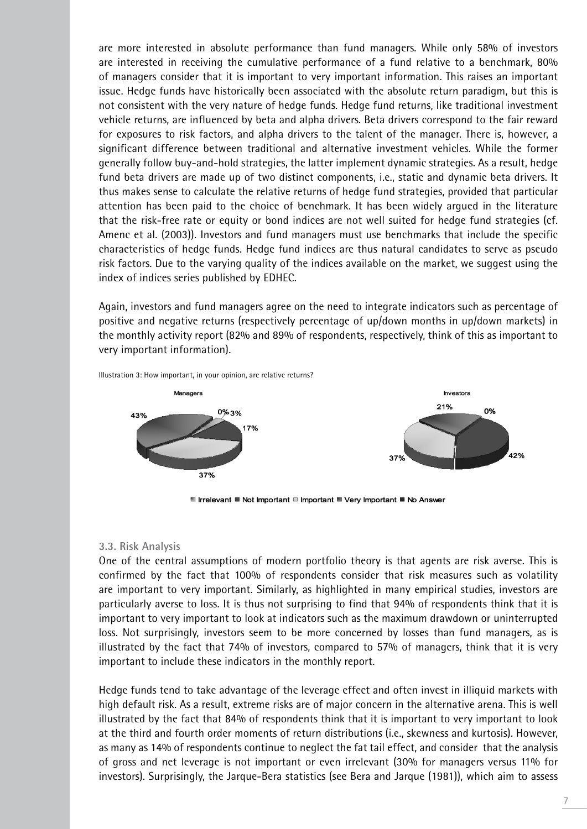are more interested in absolute performance than fund managers. While only 58% of investors are interested in receiving the cumulative performance of a fund relative to a benchmark, 80% of managers consider that it is important to very important information. This raises an important issue. Hedge funds have historically been associated with the absolute return paradigm, but this is not consistent with the very nature of hedge funds. Hedge fund returns, like traditional investment vehicle returns, are influenced by beta and alpha drivers. Beta drivers correspond to the fair reward for exposures to risk factors, and alpha drivers to the talent of the manager. There is, however, a significant difference between traditional and alternative investment vehicles. While the former generally follow buy-and-hold strategies, the latter implement dynamic strategies. As a result, hedge fund beta drivers are made up of two distinct components, i.e., static and dynamic beta drivers. It thus makes sense to calculate the relative returns of hedge fund strategies, provided that particular attention has been paid to the choice of benchmark. It has been widely argued in the literature that the risk-free rate or equity or bond indices are not well suited for hedge fund strategies (cf. Amenc et al. (2003)). Investors and fund managers must use benchmarks that include the specific characteristics of hedge funds. Hedge fund indices are thus natural candidates to serve as pseudo risk factors. Due to the varying quality of the indices available on the market, we suggest using the index of indices series published by EDHEC.

Again, investors and fund managers agree on the need to integrate indicators such as percentage of positive and negative returns (respectively percentage of up/down months in up/down markets) in the monthly activity report (82% and 89% of respondents, respectively, think of this as important to very important information).



Illustration 3: How important, in your opinion, are relative returns?

■ Irrelevant ■ Not Important ■ Important ■ Very Important ■ No Answer

#### **3.3. Risk Analysis**

One of the central assumptions of modern portfolio theory is that agents are risk averse. This is confirmed by the fact that 100% of respondents consider that risk measures such as volatility are important to very important. Similarly, as highlighted in many empirical studies, investors are particularly averse to loss. It is thus not surprising to find that 94% of respondents think that it is important to very important to look at indicators such as the maximum drawdown or uninterrupted loss. Not surprisingly, investors seem to be more concerned by losses than fund managers, as is illustrated by the fact that 74% of investors, compared to 57% of managers, think that it is very important to include these indicators in the monthly report.

Hedge funds tend to take advantage of the leverage effect and often invest in illiquid markets with high default risk. As a result, extreme risks are of major concern in the alternative arena. This is well illustrated by the fact that 84% of respondents think that it is important to very important to look at the third and fourth order moments of return distributions (i.e., skewness and kurtosis). However, as many as 14% of respondents continue to neglect the fat tail effect, and consider that the analysis of gross and net leverage is not important or even irrelevant (30% for managers versus 11% for investors). Surprisingly, the Jarque-Bera statistics (see Bera and Jarque (1981)), which aim to assess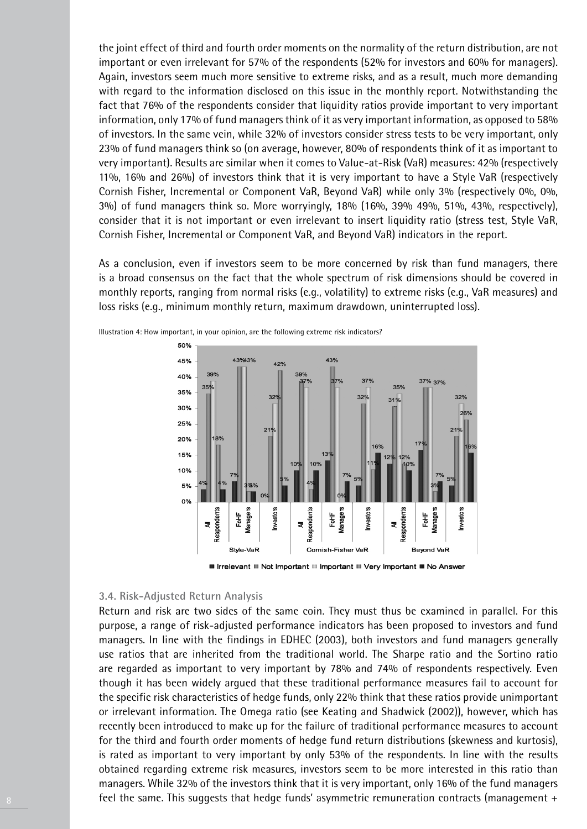the joint effect of third and fourth order moments on the normality of the return distribution, are not important or even irrelevant for 57% of the respondents (52% for investors and 60% for managers). Again, investors seem much more sensitive to extreme risks, and as a result, much more demanding with regard to the information disclosed on this issue in the monthly report. Notwithstanding the fact that 76% of the respondents consider that liquidity ratios provide important to very important information, only 17% of fund managers think of it as very important information, as opposed to 58% of investors. In the same vein, while 32% of investors consider stress tests to be very important, only 23% of fund managers think so (on average, however, 80% of respondents think of it as important to very important). Results are similar when it comes to Value-at-Risk (VaR) measures: 42% (respectively 11%, 16% and 26%) of investors think that it is very important to have a Style VaR (respectively Cornish Fisher, Incremental or Component VaR, Beyond VaR) while only 3% (respectively 0%, 0%, 3%) of fund managers think so. More worryingly, 18% (16%, 39% 49%, 51%, 43%, respectively), consider that it is not important or even irrelevant to insert liquidity ratio (stress test, Style VaR, Cornish Fisher, Incremental or Component VaR, and Beyond VaR) indicators in the report.

As a conclusion, even if investors seem to be more concerned by risk than fund managers, there is a broad consensus on the fact that the whole spectrum of risk dimensions should be covered in monthly reports, ranging from normal risks (e.g., volatility) to extreme risks (e.g., VaR measures) and loss risks (e.g., minimum monthly return, maximum drawdown, uninterrupted loss).



Illustration 4: How important, in your opinion, are the following extreme risk indicators?

**■ Irrelevant ■ Not Important ■ Important ■ Very Important ■ No Answer** 

#### **3.4. Risk-Adjusted Return Analysis**

Return and risk are two sides of the same coin. They must thus be examined in parallel. For this purpose, a range of risk-adjusted performance indicators has been proposed to investors and fund managers. In line with the findings in EDHEC (2003), both investors and fund managers generally use ratios that are inherited from the traditional world. The Sharpe ratio and the Sortino ratio are regarded as important to very important by 78% and 74% of respondents respectively. Even though it has been widely argued that these traditional performance measures fail to account for the specific risk characteristics of hedge funds, only 22% think that these ratios provide unimportant or irrelevant information. The Omega ratio (see Keating and Shadwick (2002)), however, which has recently been introduced to make up for the failure of traditional performance measures to account for the third and fourth order moments of hedge fund return distributions (skewness and kurtosis), is rated as important to very important by only 53% of the respondents. In line with the results obtained regarding extreme risk measures, investors seem to be more interested in this ratio than managers. While 32% of the investors think that it is very important, only 16% of the fund managers feel the same. This suggests that hedge funds' asymmetric remuneration contracts (management +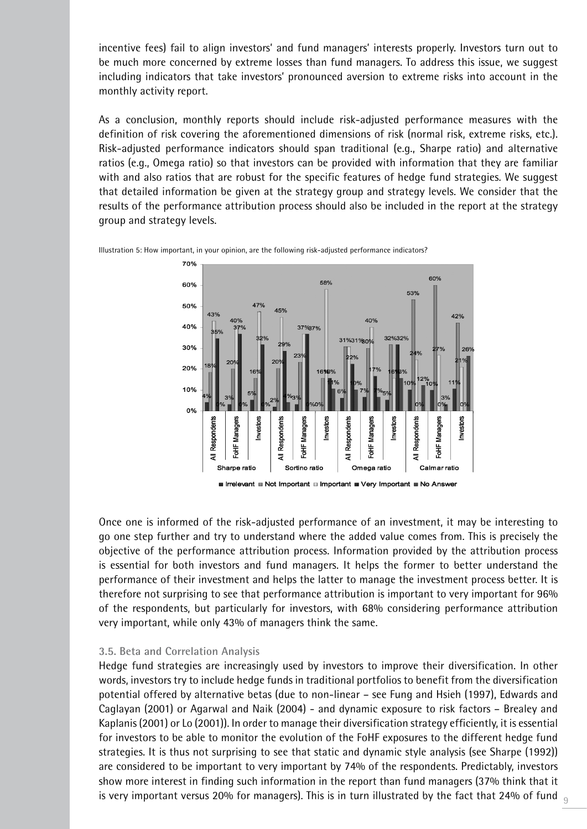incentive fees) fail to align investors' and fund managers' interests properly. Investors turn out to be much more concerned by extreme losses than fund managers. To address this issue, we suggest including indicators that take investors' pronounced aversion to extreme risks into account in the monthly activity report.

As a conclusion, monthly reports should include risk-adjusted performance measures with the definition of risk covering the aforementioned dimensions of risk (normal risk, extreme risks, etc.). Risk-adjusted performance indicators should span traditional (e.g., Sharpe ratio) and alternative ratios (e.g., Omega ratio) so that investors can be provided with information that they are familiar with and also ratios that are robust for the specific features of hedge fund strategies. We suggest that detailed information be given at the strategy group and strategy levels. We consider that the results of the performance attribution process should also be included in the report at the strategy group and strategy levels.



Illustration 5: How important, in your opinion, are the following risk-adjusted performance indicators?

Once one is informed of the risk-adjusted performance of an investment, it may be interesting to go one step further and try to understand where the added value comes from. This is precisely the objective of the performance attribution process. Information provided by the attribution process is essential for both investors and fund managers. It helps the former to better understand the performance of their investment and helps the latter to manage the investment process better. It is therefore not surprising to see that performance attribution is important to very important for 96% of the respondents, but particularly for investors, with 68% considering performance attribution very important, while only 43% of managers think the same.

#### **3.5. Beta and Correlation Analysis**

Hedge fund strategies are increasingly used by investors to improve their diversification. In other words, investors try to include hedge funds in traditional portfolios to benefit from the diversification potential offered by alternative betas (due to non-linear – see Fung and Hsieh (1997), Edwards and Caglayan (2001) or Agarwal and Naik (2004) - and dynamic exposure to risk factors – Brealey and Kaplanis (2001) or Lo (2001)). In order to manage their diversification strategy efficiently, it is essential for investors to be able to monitor the evolution of the FoHF exposures to the different hedge fund strategies. It is thus not surprising to see that static and dynamic style analysis (see Sharpe (1992)) are considered to be important to very important by 74% of the respondents. Predictably, investors show more interest in finding such information in the report than fund managers (37% think that it is very important versus 20% for managers). This is in turn illustrated by the fact that 24% of fund  $_{\tiny{Q}}$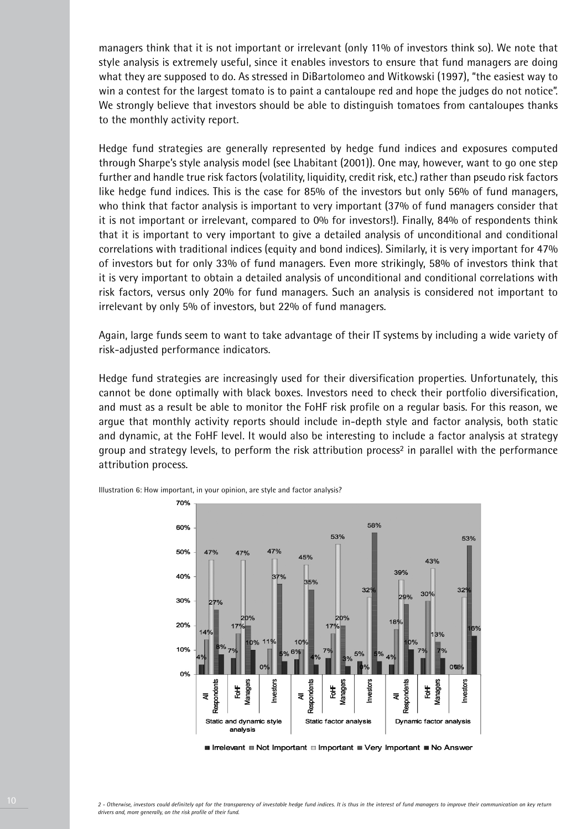managers think that it is not important or irrelevant (only 11% of investors think so). We note that style analysis is extremely useful, since it enables investors to ensure that fund managers are doing what they are supposed to do. As stressed in DiBartolomeo and Witkowski (1997), "the easiest way to win a contest for the largest tomato is to paint a cantaloupe red and hope the judges do not notice". We strongly believe that investors should be able to distinguish tomatoes from cantaloupes thanks to the monthly activity report.

Hedge fund strategies are generally represented by hedge fund indices and exposures computed through Sharpe's style analysis model (see Lhabitant (2001)). One may, however, want to go one step further and handle true risk factors (volatility, liquidity, credit risk, etc.) rather than pseudo risk factors like hedge fund indices. This is the case for 85% of the investors but only 56% of fund managers, who think that factor analysis is important to very important (37% of fund managers consider that it is not important or irrelevant, compared to 0% for investors!). Finally, 84% of respondents think that it is important to very important to give a detailed analysis of unconditional and conditional correlations with traditional indices (equity and bond indices). Similarly, it is very important for 47% of investors but for only 33% of fund managers. Even more strikingly, 58% of investors think that it is very important to obtain a detailed analysis of unconditional and conditional correlations with risk factors, versus only 20% for fund managers. Such an analysis is considered not important to irrelevant by only 5% of investors, but 22% of fund managers.

Again, large funds seem to want to take advantage of their IT systems by including a wide variety of risk-adjusted performance indicators.

Hedge fund strategies are increasingly used for their diversification properties. Unfortunately, this cannot be done optimally with black boxes. Investors need to check their portfolio diversification, and must as a result be able to monitor the FoHF risk profile on a regular basis. For this reason, we argue that monthly activity reports should include in-depth style and factor analysis, both static and dynamic, at the FoHF level. It would also be interesting to include a factor analysis at strategy group and strategy levels, to perform the risk attribution process<sup>2</sup> in parallel with the performance attribution process.



Illustration 6: How important, in your opinion, are style and factor analysis?

**■ Irrelevant ■ Not Important ■ Important ■ Very Important ■ No Answer**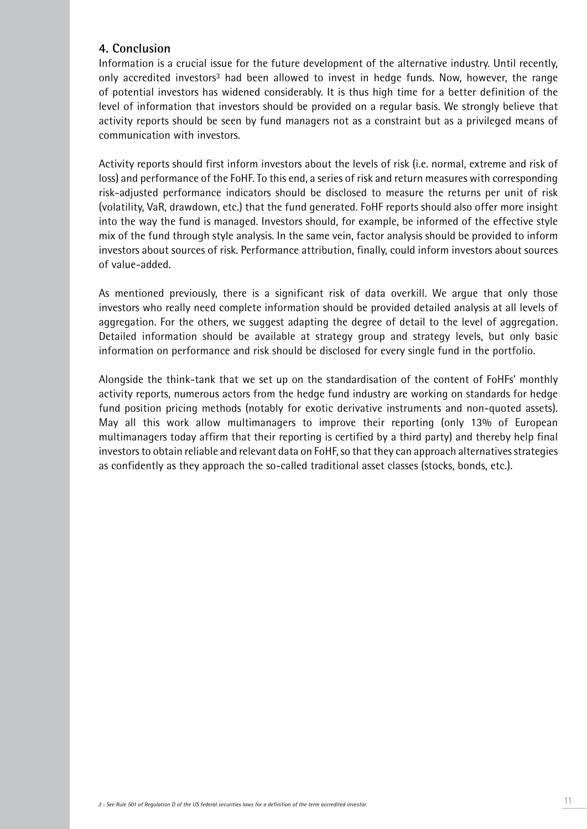## **4. Conclusion**

Information is a crucial issue for the future development of the alternative industry. Until recently, only accredited investors<sup>3</sup> had been allowed to invest in hedge funds. Now, however, the range of potential investors has widened considerably. It is thus high time for a better definition of the level of information that investors should be provided on a regular basis. We strongly believe that activity reports should be seen by fund managers not as a constraint but as a privileged means of communication with investors.

Activity reports should first inform investors about the levels of risk (i.e. normal, extreme and risk of loss) and performance of the FoHF. To this end, a series of risk and return measures with corresponding risk-adjusted performance indicators should be disclosed to measure the returns per unit of risk (volatility, VaR, drawdown, etc.) that the fund generated. FoHF reports should also offer more insight into the way the fund is managed. Investors should, for example, be informed of the effective style mix of the fund through style analysis. In the same vein, factor analysis should be provided to inform investors about sources of risk. Performance attribution, finally, could inform investors about sources of value-added.

As mentioned previously, there is a significant risk of data overkill. We argue that only those investors who really need complete information should be provided detailed analysis at all levels of aggregation. For the others, we suggest adapting the degree of detail to the level of aggregation. Detailed information should be available at strategy group and strategy levels, but only basic information on performance and risk should be disclosed for every single fund in the portfolio.

Alongside the think-tank that we set up on the standardisation of the content of FoHFs' monthly activity reports, numerous actors from the hedge fund industry are working on standards for hedge fund position pricing methods (notably for exotic derivative instruments and non-quoted assets). May all this work allow multimanagers to improve their reporting (only 13% of European multimanagers today affirm that their reporting is certified by a third party) and thereby help final investors to obtain reliable and relevant data on FoHF, so that they can approach alternatives strategies as confidently as they approach the so-called traditional asset classes (stocks, bonds, etc.).